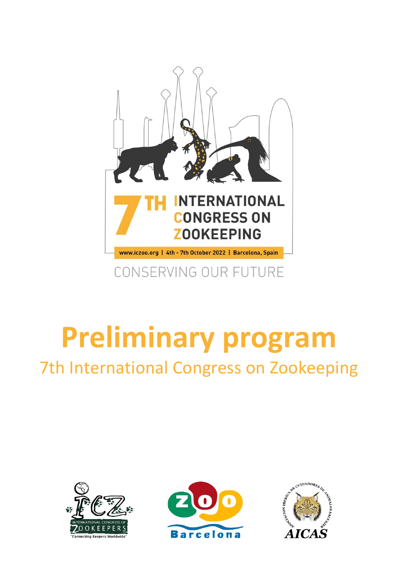

# **Preliminary program** 7th International Congress on Zookeeping





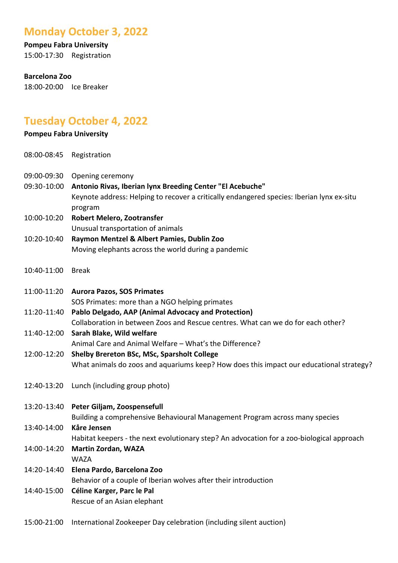## **Monday October 3, 2022**

# **Pompeu Fabra University**

15:00-17:30 Registration

#### **Barcelona Zoo**

18:00-20:00 Ice Breaker

# **Tuesday October 4, 2022**

#### **Pompeu Fabra University**

- 08:00-08:45 Registration
- 09:00-09:30 Opening ceremony
- 09:30-10:00 **Antonio Rivas, Iberian lynx Breeding Center "El Acebuche"** Keynote address: Helping to recover a critically endangered species: Iberian lynx ex-situ program
- 10:00-10:20 **Robert Melero, Zootransfer** Unusual transportation of animals
- 10:20-10:40 **Raymon Mentzel & Albert Pamies, Dublin Zoo** Moving elephants across the world during a pandemic
- 10:40-11:00 Break
- 11:00-11:20 **Aurora Pazos, SOS Primates** SOS Primates: more than a NGO helping primates
- 11:20-11:40 **Pablo Delgado, AAP (Animal Advocacy and Protection)** Collaboration in between Zoos and Rescue centres. What can we do for each other?

### 11:40-12:00 **Sarah Blake, Wild welfare**

Animal Care and Animal Welfare – What's the Difference?

#### 12:00-12:20 **Shelby Brereton BSc, MSc, Sparsholt College** What animals do zoos and aquariums keep? How does this impact our educational strategy?

- 12:40-13:20 Lunch (including group photo)
- 13:20-13:40 **Peter Giljam, Zoospensefull**

Building a comprehensive Behavioural Management Program across many species

13:40-14:00 **Kåre Jensen**

Habitat keepers - the next evolutionary step? An advocation for a zoo-biological approach

- 14:00-14:20 **Martin Zordan, WAZA** WAZA
- 14:20-14:40 **Elena Pardo, Barcelona Zoo** Behavior of a couple of Iberian wolves after their introduction 14:40-15:00 **Céline Karger, Parc le Pal**
	- Rescue of an Asian elephant
- 15:00-21:00 International Zookeeper Day celebration (including silent auction)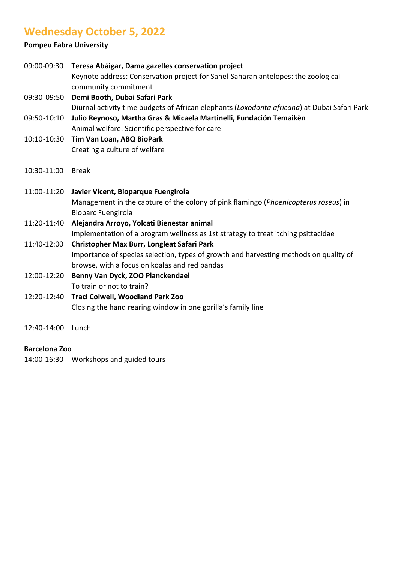# **Wednesday October 5, 2022**

#### **Pompeu Fabra University**

|             | 09:00-09:30 Teresa Abáigar, Dama gazelles conservation project<br>Keynote address: Conservation project for Sahel-Saharan antelopes: the zoological<br>community commitment |
|-------------|-----------------------------------------------------------------------------------------------------------------------------------------------------------------------------|
| 09:30-09:50 | Demi Booth, Dubai Safari Park                                                                                                                                               |
|             | Diurnal activity time budgets of African elephants (Loxodonta africana) at Dubai Safari Park                                                                                |
| 09:50-10:10 | Julio Reynoso, Martha Gras & Micaela Martinelli, Fundación Temaikèn                                                                                                         |
|             | Animal welfare: Scientific perspective for care                                                                                                                             |
| 10:10-10:30 | Tim Van Loan, ABQ BioPark                                                                                                                                                   |
|             | Creating a culture of welfare                                                                                                                                               |
| 10:30-11:00 | <b>Break</b>                                                                                                                                                                |
| 11:00-11:20 | Javier Vicent, Bioparque Fuengirola                                                                                                                                         |
|             | Management in the capture of the colony of pink flamingo (Phoenicopterus roseus) in                                                                                         |
|             | <b>Bioparc Fuengirola</b>                                                                                                                                                   |
| 11:20-11:40 | Alejandra Arroyo, Yolcati Bienestar animal                                                                                                                                  |
|             | Implementation of a program wellness as 1st strategy to treat itching psittacidae                                                                                           |
| 11:40-12:00 | Christopher Max Burr, Longleat Safari Park                                                                                                                                  |
|             | Importance of species selection, types of growth and harvesting methods on quality of                                                                                       |
|             | browse, with a focus on koalas and red pandas                                                                                                                               |
| 12:00-12:20 | Benny Van Dyck, ZOO Planckendael                                                                                                                                            |
|             | To train or not to train?                                                                                                                                                   |
| 12:20-12:40 | Traci Colwell, Woodland Park Zoo                                                                                                                                            |
|             | Closing the hand rearing window in one gorilla's family line                                                                                                                |

12:40-14:00 Lunch

#### **Barcelona Zoo**

14:00-16:30 Workshops and guided tours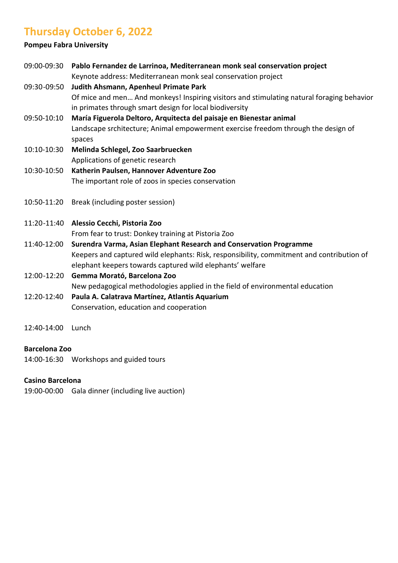# **Thursday October 6, 2022**

#### **Pompeu Fabra University**

| 09:00-09:30 | Pablo Fernandez de Larrinoa, Mediterranean monk seal conservation project                 |
|-------------|-------------------------------------------------------------------------------------------|
|             | Keynote address: Mediterranean monk seal conservation project                             |
| 09:30-09:50 | Judith Ahsmann, Apenheul Primate Park                                                     |
|             | Of mice and men And monkeys! Inspiring visitors and stimulating natural foraging behavior |
|             | in primates through smart design for local biodiversity                                   |
| 09:50-10:10 | María Figuerola Deltoro, Arquitecta del paisaje en Bienestar animal                       |
|             | Landscape srchitecture; Animal empowerment exercise freedom through the design of         |
|             | spaces                                                                                    |
| 10:10-10:30 | Melinda Schlegel, Zoo Saarbruecken                                                        |
|             | Applications of genetic research                                                          |
| 10:30-10:50 | Katherin Paulsen, Hannover Adventure Zoo                                                  |
|             | The important role of zoos in species conservation                                        |
|             |                                                                                           |
| 10:50-11:20 | Break (including poster session)                                                          |
|             |                                                                                           |
| 11:20-11:40 | Alessio Cecchi, Pistoria Zoo                                                              |
|             | From fear to trust: Donkey training at Pistoria Zoo                                       |
| 11:40-12:00 | Surendra Varma, Asian Elephant Research and Conservation Programme                        |
|             | Keepers and captured wild elephants: Risk, responsibility, commitment and contribution of |
|             | elephant keepers towards captured wild elephants' welfare                                 |
| 12:00-12:20 | Gemma Morató, Barcelona Zoo                                                               |
|             | New pedagogical methodologies applied in the field of environmental education             |
| 12:20-12:40 | Paula A. Calatrava Martínez, Atlantis Aquarium                                            |
|             | Conservation, education and cooperation                                                   |
|             |                                                                                           |
| 12:40-14:00 | Lunch                                                                                     |

#### **Barcelona Zoo**

14:00-16:30 Workshops and guided tours

#### **Casino Barcelona**

19:00-00:00 Gala dinner (including live auction)